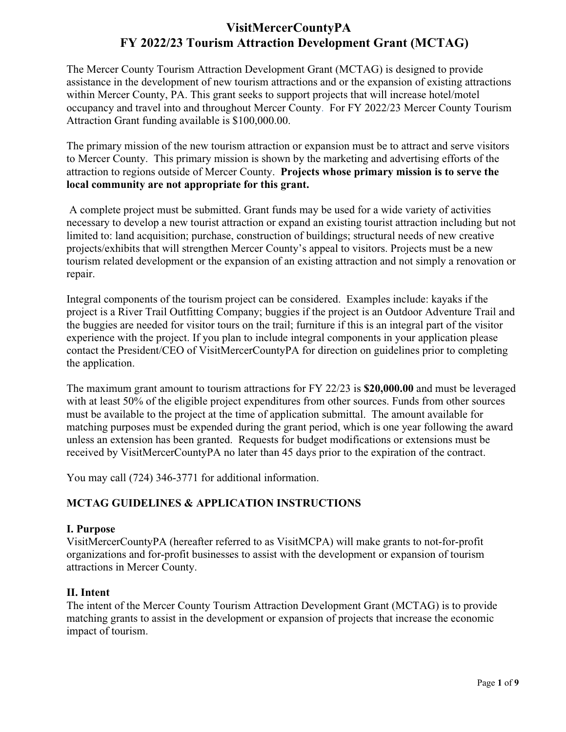# **VisitMercerCountyPA FY 2022/23 Tourism Attraction Development Grant (MCTAG)**

The Mercer County Tourism Attraction Development Grant (MCTAG) is designed to provide assistance in the development of new tourism attractions and or the expansion of existing attractions within Mercer County, PA. This grant seeks to support projects that will increase hotel/motel occupancy and travel into and throughout Mercer County. For FY 2022/23 Mercer County Tourism Attraction Grant funding available is \$100,000.00.

The primary mission of the new tourism attraction or expansion must be to attract and serve visitors to Mercer County. This primary mission is shown by the marketing and advertising efforts of the attraction to regions outside of Mercer County. **Projects whose primary mission is to serve the local community are not appropriate for this grant.**

A complete project must be submitted. Grant funds may be used for a wide variety of activities necessary to develop a new tourist attraction or expand an existing tourist attraction including but not limited to: land acquisition; purchase, construction of buildings; structural needs of new creative projects/exhibits that will strengthen Mercer County's appeal to visitors. Projects must be a new tourism related development or the expansion of an existing attraction and not simply a renovation or repair.

Integral components of the tourism project can be considered. Examples include: kayaks if the project is a River Trail Outfitting Company; buggies if the project is an Outdoor Adventure Trail and the buggies are needed for visitor tours on the trail; furniture if this is an integral part of the visitor experience with the project. If you plan to include integral components in your application please contact the President/CEO of VisitMercerCountyPA for direction on guidelines prior to completing the application.

The maximum grant amount to tourism attractions for FY 22/23 is **\$20,000.00** and must be leveraged with at least 50% of the eligible project expenditures from other sources. Funds from other sources must be available to the project at the time of application submittal. The amount available for matching purposes must be expended during the grant period, which is one year following the award unless an extension has been granted. Requests for budget modifications or extensions must be received by VisitMercerCountyPA no later than 45 days prior to the expiration of the contract.

You may call (724) 346-3771 for additional information.

# **MCTAG GUIDELINES & APPLICATION INSTRUCTIONS**

## **I. Purpose**

VisitMercerCountyPA (hereafter referred to as VisitMCPA) will make grants to not-for-profit organizations and for-profit businesses to assist with the development or expansion of tourism attractions in Mercer County.

# **II. Intent**

The intent of the Mercer County Tourism Attraction Development Grant (MCTAG) is to provide matching grants to assist in the development or expansion of projects that increase the economic impact of tourism.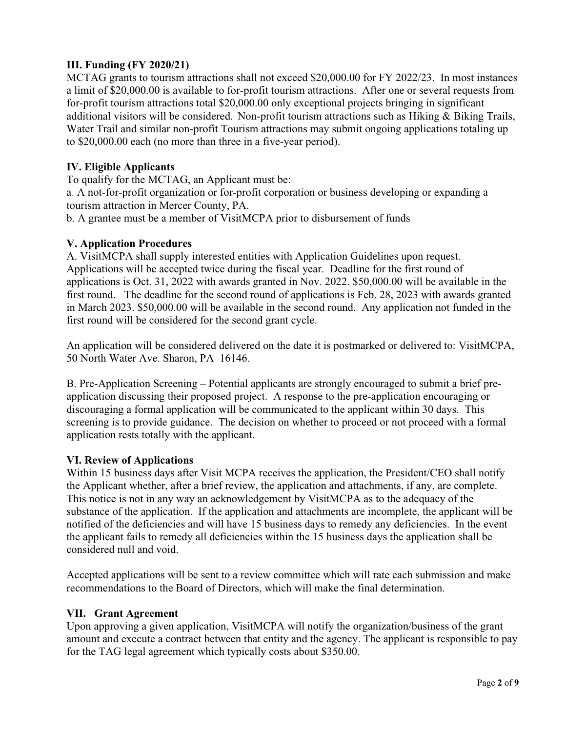# **III. Funding (FY 2020/21)**

MCTAG grants to tourism attractions shall not exceed \$20,000.00 for FY 2022/23. In most instances a limit of \$20,000.00 is available to for-profit tourism attractions. After one or several requests from for-profit tourism attractions total \$20,000.00 only exceptional projects bringing in significant additional visitors will be considered. Non-profit tourism attractions such as Hiking & Biking Trails, Water Trail and similar non-profit Tourism attractions may submit ongoing applications totaling up to \$20,000.00 each (no more than three in a five-year period).

# **IV. Eligible Applicants**

To qualify for the MCTAG, an Applicant must be:

a. A not-for-profit organization or for-profit corporation or business developing or expanding a tourism attraction in Mercer County, PA.

b. A grantee must be a member of VisitMCPA prior to disbursement of funds

## **V. Application Procedures**

A. VisitMCPA shall supply interested entities with Application Guidelines upon request. Applications will be accepted twice during the fiscal year. Deadline for the first round of applications is Oct. 31, 2022 with awards granted in Nov. 2022. \$50,000.00 will be available in the first round. The deadline for the second round of applications is Feb. 28, 2023 with awards granted in March 2023. \$50,000.00 will be available in the second round. Any application not funded in the first round will be considered for the second grant cycle.

An application will be considered delivered on the date it is postmarked or delivered to: VisitMCPA, 50 North Water Ave. Sharon, PA 16146.

B. Pre-Application Screening – Potential applicants are strongly encouraged to submit a brief preapplication discussing their proposed project. A response to the pre-application encouraging or discouraging a formal application will be communicated to the applicant within 30 days. This screening is to provide guidance. The decision on whether to proceed or not proceed with a formal application rests totally with the applicant.

# **VI. Review of Applications**

Within 15 business days after Visit MCPA receives the application, the President/CEO shall notify the Applicant whether, after a brief review, the application and attachments, if any, are complete. This notice is not in any way an acknowledgement by VisitMCPA as to the adequacy of the substance of the application. If the application and attachments are incomplete, the applicant will be notified of the deficiencies and will have 15 business days to remedy any deficiencies. In the event the applicant fails to remedy all deficiencies within the 15 business days the application shall be considered null and void.

Accepted applications will be sent to a review committee which will rate each submission and make recommendations to the Board of Directors, which will make the final determination.

## **VII. Grant Agreement**

Upon approving a given application, VisitMCPA will notify the organization/business of the grant amount and execute a contract between that entity and the agency. The applicant is responsible to pay for the TAG legal agreement which typically costs about \$350.00.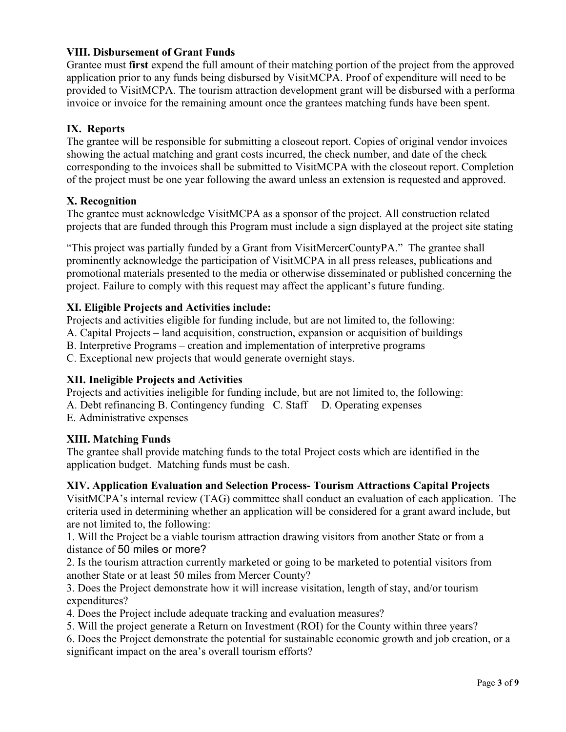## **VIII. Disbursement of Grant Funds**

Grantee must **first** expend the full amount of their matching portion of the project from the approved application prior to any funds being disbursed by VisitMCPA. Proof of expenditure will need to be provided to VisitMCPA. The tourism attraction development grant will be disbursed with a performa invoice or invoice for the remaining amount once the grantees matching funds have been spent.

## **IX. Reports**

The grantee will be responsible for submitting a closeout report. Copies of original vendor invoices showing the actual matching and grant costs incurred, the check number, and date of the check corresponding to the invoices shall be submitted to VisitMCPA with the closeout report. Completion of the project must be one year following the award unless an extension is requested and approved.

## **X. Recognition**

The grantee must acknowledge VisitMCPA as a sponsor of the project. All construction related projects that are funded through this Program must include a sign displayed at the project site stating

"This project was partially funded by a Grant from VisitMercerCountyPA." The grantee shall prominently acknowledge the participation of VisitMCPA in all press releases, publications and promotional materials presented to the media or otherwise disseminated or published concerning the project. Failure to comply with this request may affect the applicant's future funding.

## **XI. Eligible Projects and Activities include:**

Projects and activities eligible for funding include, but are not limited to, the following: A. Capital Projects – land acquisition, construction, expansion or acquisition of buildings B. Interpretive Programs – creation and implementation of interpretive programs C. Exceptional new projects that would generate overnight stays.

## **XII. Ineligible Projects and Activities**

Projects and activities ineligible for funding include, but are not limited to, the following: A. Debt refinancing B. Contingency funding C. Staff D. Operating expenses E. Administrative expenses

## **XIII. Matching Funds**

The grantee shall provide matching funds to the total Project costs which are identified in the application budget. Matching funds must be cash.

## **XIV. Application Evaluation and Selection Process- Tourism Attractions Capital Projects**

VisitMCPA's internal review (TAG) committee shall conduct an evaluation of each application. The criteria used in determining whether an application will be considered for a grant award include, but are not limited to, the following:

1. Will the Project be a viable tourism attraction drawing visitors from another State or from a distance of 50 miles or more?

2. Is the tourism attraction currently marketed or going to be marketed to potential visitors from another State or at least 50 miles from Mercer County?

3. Does the Project demonstrate how it will increase visitation, length of stay, and/or tourism expenditures?

4. Does the Project include adequate tracking and evaluation measures?

5. Will the project generate a Return on Investment (ROI) for the County within three years?

6. Does the Project demonstrate the potential for sustainable economic growth and job creation, or a significant impact on the area's overall tourism efforts?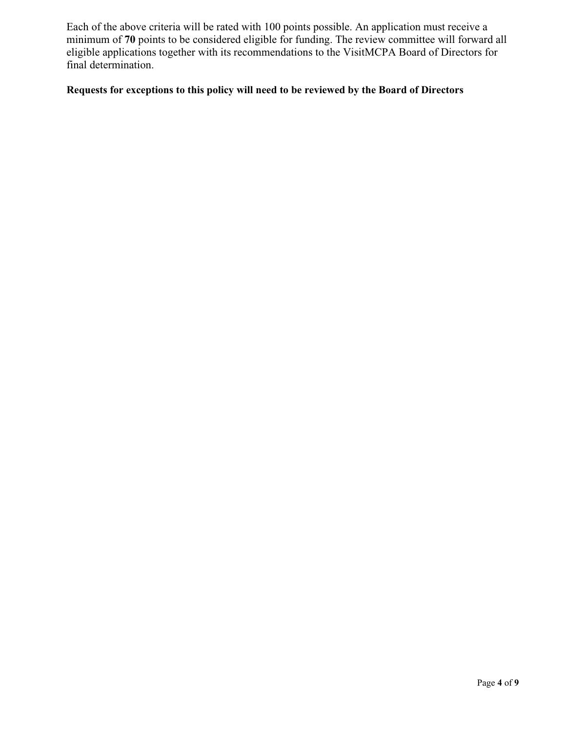Each of the above criteria will be rated with 100 points possible. An application must receive a minimum of **70** points to be considered eligible for funding. The review committee will forward all eligible applications together with its recommendations to the VisitMCPA Board of Directors for final determination.

# **Requests for exceptions to this policy will need to be reviewed by the Board of Directors**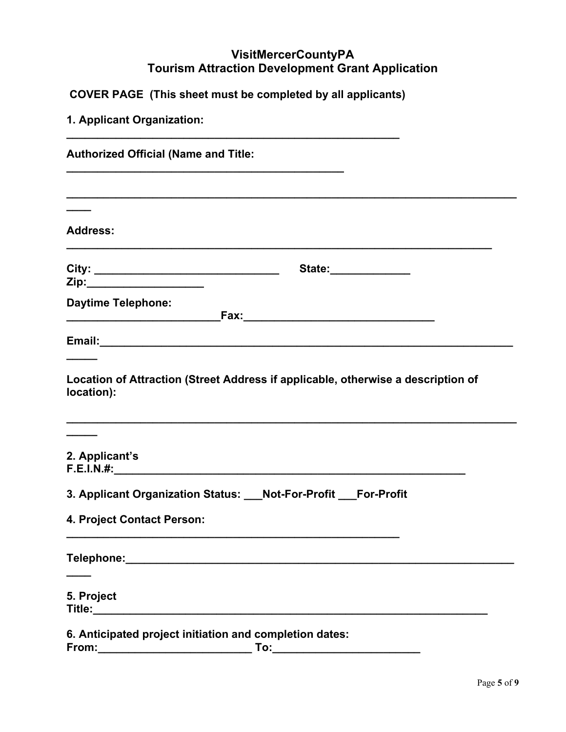# **VisitMercerCountyPA Tourism Attraction Development Grant Application**

**COVER PAGE (This sheet must be completed by all applicants)**

| 1. Applicant Organization:                                                                                                                                                                 |
|--------------------------------------------------------------------------------------------------------------------------------------------------------------------------------------------|
| <b>Authorized Official (Name and Title:</b>                                                                                                                                                |
|                                                                                                                                                                                            |
| <b>Address:</b>                                                                                                                                                                            |
| State:______________<br>Zip:______________________                                                                                                                                         |
| <b>Daytime Telephone:</b>                                                                                                                                                                  |
|                                                                                                                                                                                            |
| Location of Attraction (Street Address if applicable, otherwise a description of<br>location):                                                                                             |
| 2. Applicant's                                                                                                                                                                             |
| 3. Applicant Organization Status: Not-For-Profit For-Profit                                                                                                                                |
| 4. Project Contact Person:                                                                                                                                                                 |
|                                                                                                                                                                                            |
| 5. Project                                                                                                                                                                                 |
| 6. Anticipated project initiation and completion dates:<br>From:<br><u> 1989 - Johann Harry Barn, mars ar yw y cynnwys y cynnwys y cynnwys y cynnwys y cynnwys y cynnwys y cynnwys y c</u> |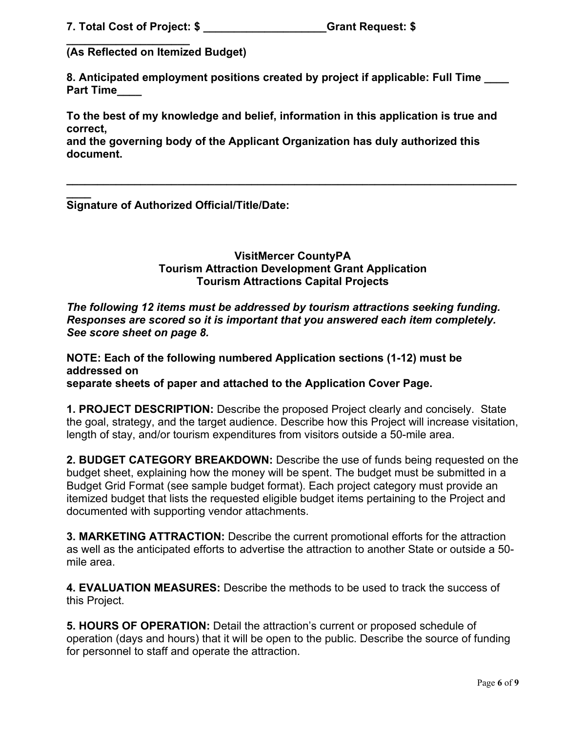**7. Total Cost of Project: \$ \_\_\_\_\_\_\_\_\_\_\_\_\_\_\_\_\_\_\_\_Grant Request: \$** 

**\_\_\_\_\_\_\_\_\_\_\_\_\_\_\_\_\_\_\_\_ (As Reflected on Itemized Budget)**

**8. Anticipated employment positions created by project if applicable: Full Time \_\_\_\_ Part Time\_\_\_\_**

**To the best of my knowledge and belief, information in this application is true and correct,**

**and the governing body of the Applicant Organization has duly authorized this document.**

**\_\_\_\_ Signature of Authorized Official/Title/Date:** 

> **VisitMercer CountyPA Tourism Attraction Development Grant Application Tourism Attractions Capital Projects**

**\_\_\_\_\_\_\_\_\_\_\_\_\_\_\_\_\_\_\_\_\_\_\_\_\_\_\_\_\_\_\_\_\_\_\_\_\_\_\_\_\_\_\_\_\_\_\_\_\_\_\_\_\_\_\_\_\_\_\_\_\_\_\_\_\_\_\_\_\_\_\_\_\_**

*The following 12 items must be addressed by tourism attractions seeking funding. Responses are scored so it is important that you answered each item completely. See score sheet on page 8.*

**NOTE: Each of the following numbered Application sections (1-12) must be addressed on separate sheets of paper and attached to the Application Cover Page.**

**1. PROJECT DESCRIPTION:** Describe the proposed Project clearly and concisely. State the goal, strategy, and the target audience. Describe how this Project will increase visitation, length of stay, and/or tourism expenditures from visitors outside a 50-mile area.

**2. BUDGET CATEGORY BREAKDOWN:** Describe the use of funds being requested on the budget sheet, explaining how the money will be spent. The budget must be submitted in a Budget Grid Format (see sample budget format). Each project category must provide an itemized budget that lists the requested eligible budget items pertaining to the Project and documented with supporting vendor attachments.

**3. MARKETING ATTRACTION:** Describe the current promotional efforts for the attraction as well as the anticipated efforts to advertise the attraction to another State or outside a 50 mile area.

**4. EVALUATION MEASURES:** Describe the methods to be used to track the success of this Project.

**5. HOURS OF OPERATION:** Detail the attraction's current or proposed schedule of operation (days and hours) that it will be open to the public. Describe the source of funding for personnel to staff and operate the attraction.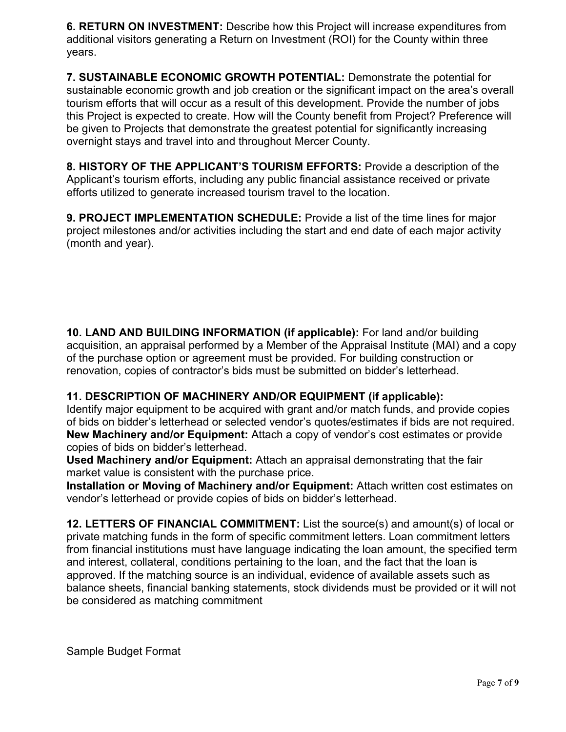**6. RETURN ON INVESTMENT:** Describe how this Project will increase expenditures from additional visitors generating a Return on Investment (ROI) for the County within three years.

**7. SUSTAINABLE ECONOMIC GROWTH POTENTIAL:** Demonstrate the potential for sustainable economic growth and job creation or the significant impact on the area's overall tourism efforts that will occur as a result of this development. Provide the number of jobs this Project is expected to create. How will the County benefit from Project? Preference will be given to Projects that demonstrate the greatest potential for significantly increasing overnight stays and travel into and throughout Mercer County.

**8. HISTORY OF THE APPLICANT'S TOURISM EFFORTS:** Provide a description of the Applicant's tourism efforts, including any public financial assistance received or private efforts utilized to generate increased tourism travel to the location.

**9. PROJECT IMPLEMENTATION SCHEDULE:** Provide a list of the time lines for major project milestones and/or activities including the start and end date of each major activity (month and year).

**10. LAND AND BUILDING INFORMATION (if applicable):** For land and/or building acquisition, an appraisal performed by a Member of the Appraisal Institute (MAI) and a copy of the purchase option or agreement must be provided. For building construction or renovation, copies of contractor's bids must be submitted on bidder's letterhead.

# **11. DESCRIPTION OF MACHINERY AND/OR EQUIPMENT (if applicable):**

Identify major equipment to be acquired with grant and/or match funds, and provide copies of bids on bidder's letterhead or selected vendor's quotes/estimates if bids are not required. **New Machinery and/or Equipment:** Attach a copy of vendor's cost estimates or provide copies of bids on bidder's letterhead.

**Used Machinery and/or Equipment:** Attach an appraisal demonstrating that the fair market value is consistent with the purchase price.

**Installation or Moving of Machinery and/or Equipment:** Attach written cost estimates on vendor's letterhead or provide copies of bids on bidder's letterhead.

**12. LETTERS OF FINANCIAL COMMITMENT:** List the source(s) and amount(s) of local or private matching funds in the form of specific commitment letters. Loan commitment letters from financial institutions must have language indicating the loan amount, the specified term and interest, collateral, conditions pertaining to the loan, and the fact that the loan is approved. If the matching source is an individual, evidence of available assets such as balance sheets, financial banking statements, stock dividends must be provided or it will not be considered as matching commitment

Sample Budget Format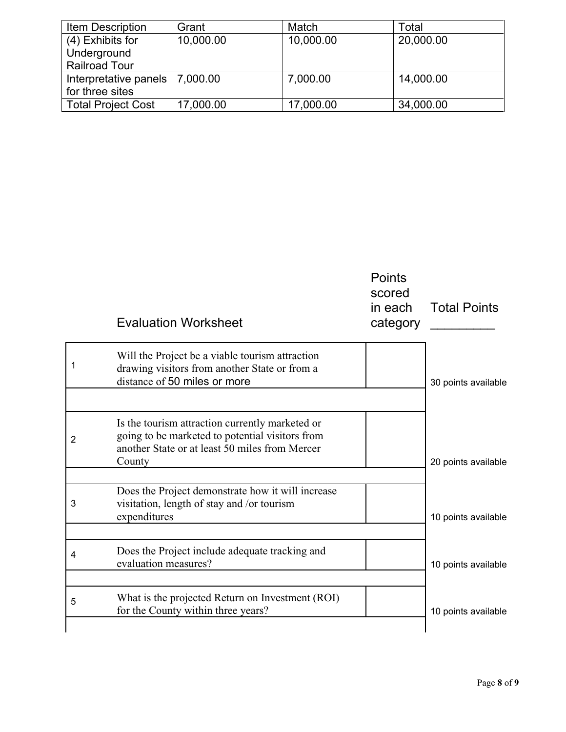| <b>Item Description</b>          | Grant     | Match     | Total     |
|----------------------------------|-----------|-----------|-----------|
| $(4)$ Exhibits for               | 10,000.00 | 10,000.00 | 20,000.00 |
| Underground                      |           |           |           |
| <b>Railroad Tour</b>             |           |           |           |
| Interpretative panels   7,000.00 |           | 7,000.00  | 14,000.00 |
| for three sites                  |           |           |           |
| <b>Total Project Cost</b>        | 17,000.00 | 17,000.00 | 34,000.00 |

|                | <b>Evaluation Worksheet</b>                                                                                                                                    | <b>Points</b><br>scored<br>in each<br>category | <b>Total Points</b> |
|----------------|----------------------------------------------------------------------------------------------------------------------------------------------------------------|------------------------------------------------|---------------------|
|                | Will the Project be a viable tourism attraction<br>drawing visitors from another State or from a<br>distance of 50 miles or more                               |                                                | 30 points available |
|                |                                                                                                                                                                |                                                |                     |
| $\overline{2}$ | Is the tourism attraction currently marketed or<br>going to be marketed to potential visitors from<br>another State or at least 50 miles from Mercer<br>County |                                                | 20 points available |
|                |                                                                                                                                                                |                                                |                     |
| 3              | Does the Project demonstrate how it will increase<br>visitation, length of stay and /or tourism<br>expenditures                                                |                                                | 10 points available |
|                |                                                                                                                                                                |                                                |                     |
| 4              | Does the Project include adequate tracking and<br>evaluation measures?                                                                                         |                                                | 10 points available |
|                |                                                                                                                                                                |                                                |                     |
| 5              | What is the projected Return on Investment (ROI)<br>for the County within three years?                                                                         |                                                | 10 points available |
|                |                                                                                                                                                                |                                                |                     |